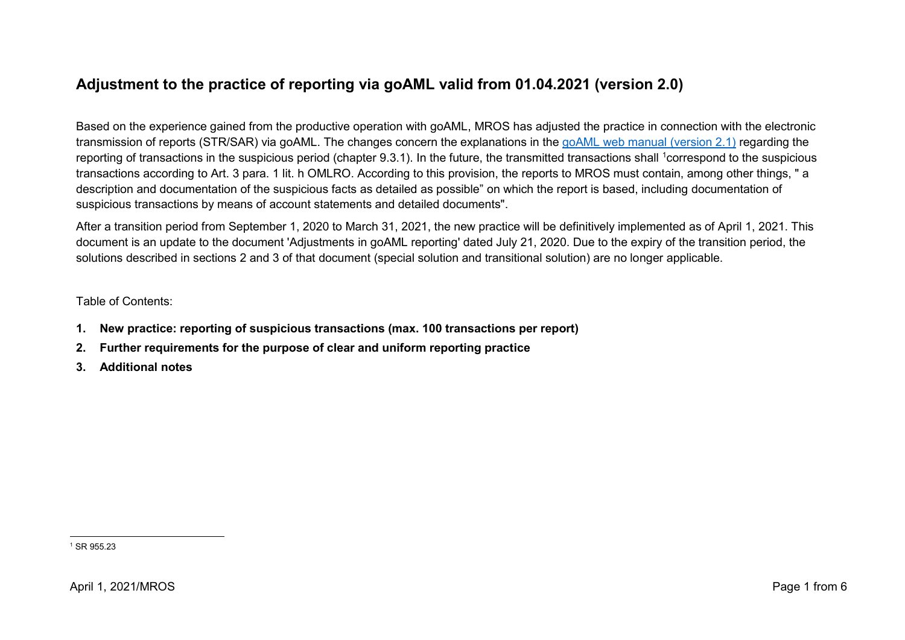# **Adjustment to the practice of reporting via goAML valid from 01.04.2021 (version 2.0)**

Based on the experience gained from the productive operation with goAML, MROS has adjusted the practice in connection with the electronic transmission of reports (STR/SAR) via goAML. The changes concern the explanations in the [goAML web manual \(version 2.1\)](https://www.fedpol.admin.ch/dam/fedpol/en/data/kriminalitaet/geldwaescherei/aml/goaml-web-manual-e.pdf.download.pdf/goaml-web-manual-e.pdf) regarding the reporting of transactions in the suspicious period (chapter 9.3.1). In the future, the transmitted transactions shall <sup>1</sup>correspond to the suspicious transactions according to Art. 3 para. 1 lit. h OMLRO. According to this provision, the reports to MROS must contain, among other things, " a description and documentation of the suspicious facts as detailed as possible" on which the report is based, including documentation of suspicious transactions by means of account statements and detailed documents".

After a transition period from September 1, 2020 to March 31, 2021, the new practice will be definitively implemented as of April 1, 2021. This document is an update to the document 'Adjustments in goAML reporting' dated July 21, 2020. Due to the expiry of the transition period, the solutions described in sections 2 and 3 of that document (special solution and transitional solution) are no longer applicable.

#### Table of Contents:

- **1. [New practice: reporting of suspicious transactions \(max. 100 transactions per report\)](#page-1-0)**
- **2. [Further requirements for the purpose of clear and uniform reporting practice](#page-2-0)**
- **3. [Additional notes](#page-3-0)**

 <sup>1</sup> SR 955.23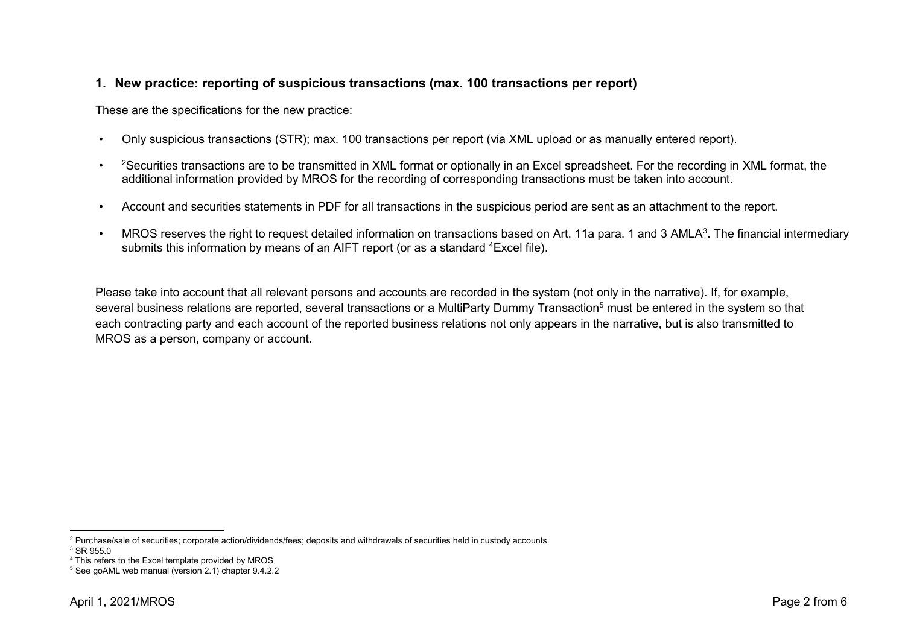### <span id="page-1-0"></span>**1. New practice: reporting of suspicious transactions (max. 100 transactions per report)**

These are the specifications for the new practice:

- Only suspicious transactions (STR); max. 100 transactions per report (via XML upload or as manually entered report).
- <sup>2</sup>Securities transactions are to be transmitted in XML format or optionally in an Excel spreadsheet. For the recording in XML format, the additional information provided by MROS for the recording of corresponding transactions must be taken into account.
- Account and securities statements in PDF for all transactions in the suspicious period are sent as an attachment to the report.
- MROS reserves the right to request detailed information on transactions based on Art. 11a para. 1 and 3 AMLA<sup>3</sup>. The financial intermediary submits this information by means of an AIFT report (or as a standard <sup>4</sup>Excel file).

Please take into account that all relevant persons and accounts are recorded in the system (not only in the narrative). If, for example, several business relations are reported, several transactions or a MultiParty Dummy Transaction<sup>5</sup> must be entered in the system so that each contracting party and each account of the reported business relations not only appears in the narrative, but is also transmitted to MROS as a person, company or account.

 <sup>2</sup> Purchase/sale of securities; corporate action/dividends/fees; deposits and withdrawals of securities held in custody accounts

<sup>&</sup>lt;sup>3</sup> SR 955.0

<sup>4</sup> This refers to the Excel template provided by MROS

<sup>5</sup> See goAML web manual (version 2.1) chapter 9.4.2.2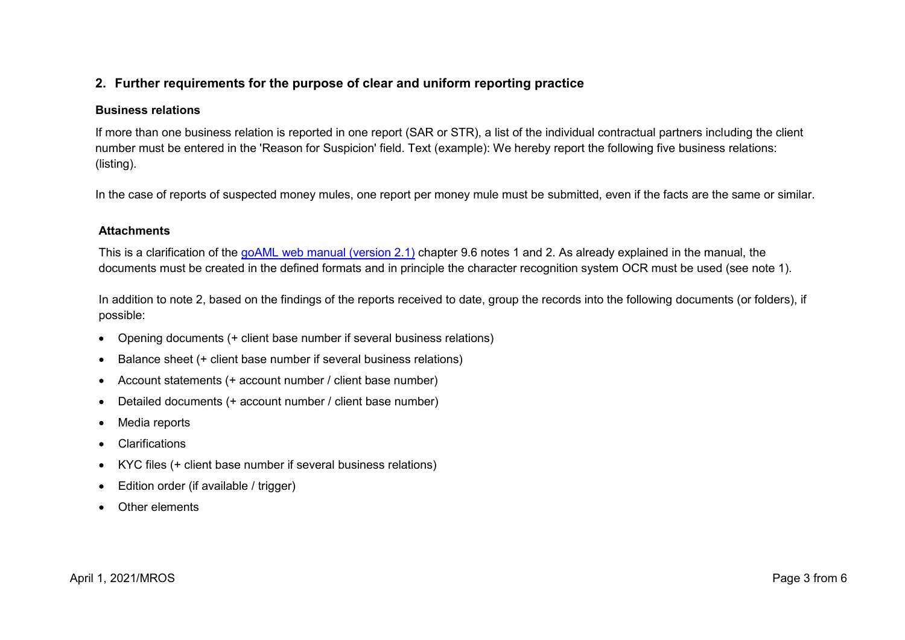## <span id="page-2-0"></span>**2. Further requirements for the purpose of clear and uniform reporting practice**

#### **Business relations**

If more than one business relation is reported in one report (SAR or STR), a list of the individual contractual partners including the client number must be entered in the 'Reason for Suspicion' field. Text (example): We hereby report the following five business relations: (listing).

In the case of reports of suspected money mules, one report per money mule must be submitted, even if the facts are the same or similar.

#### **Attachments**

This is a clarification of the goAML [web manual \(version 2.1\)](https://www.fedpol.admin.ch/dam/fedpol/en/data/kriminalitaet/geldwaescherei/aml/goaml-web-manual-e.pdf.download.pdf/goaml-web-manual-e.pdf) chapter 9.6 notes 1 and 2. As already explained in the manual, the documents must be created in the defined formats and in principle the character recognition system OCR must be used (see note 1).

In addition to note 2, based on the findings of the reports received to date, group the records into the following documents (or folders), if possible:

- Opening documents (+ client base number if several business relations)
- Balance sheet (+ client base number if several business relations)
- Account statements (+ account number / client base number)
- Detailed documents (+ account number / client base number)
- Media reports
- Clarifications
- KYC files (+ client base number if several business relations)
- Edition order (if available / trigger)
- Other elements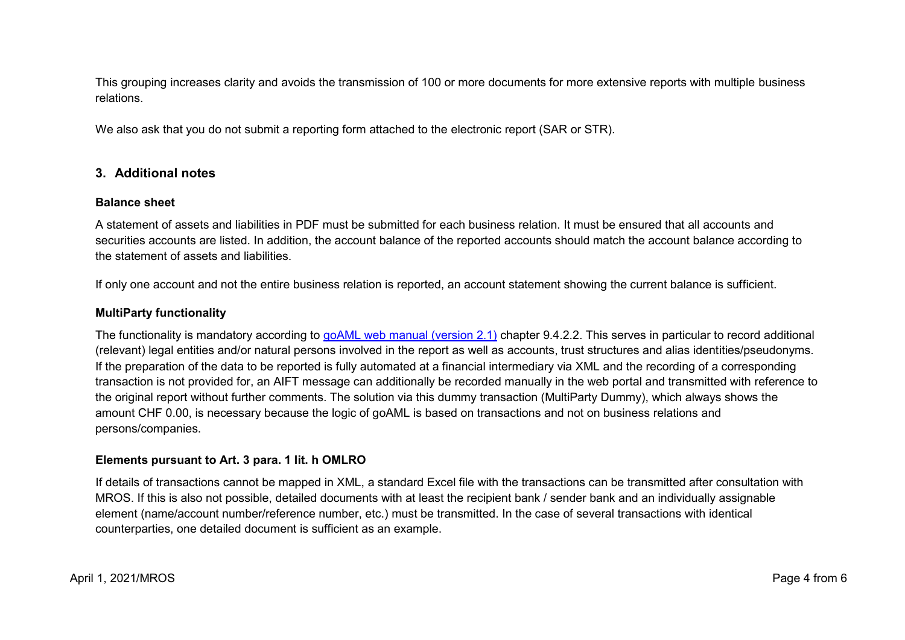This grouping increases clarity and avoids the transmission of 100 or more documents for more extensive reports with multiple business relations.

We also ask that you do not submit a reporting form attached to the electronic report (SAR or STR).

### <span id="page-3-0"></span>**3. Additional notes**

#### **Balance sheet**

A statement of assets and liabilities in PDF must be submitted for each business relation. It must be ensured that all accounts and securities accounts are listed. In addition, the account balance of the reported accounts should match the account balance according to the statement of assets and liabilities.

If only one account and not the entire business relation is reported, an account statement showing the current balance is sufficient.

#### **MultiParty functionality**

The functionality is mandatory according to [goAML web manual \(version 2.1\)](https://www.fedpol.admin.ch/dam/fedpol/en/data/kriminalitaet/geldwaescherei/aml/goaml-web-manual-e.pdf.download.pdf/goaml-web-manual-e.pdf) chapter 9.4.2.2. This serves in particular to record additional (relevant) legal entities and/or natural persons involved in the report as well as accounts, trust structures and alias identities/pseudonyms. If the preparation of the data to be reported is fully automated at a financial intermediary via XML and the recording of a corresponding transaction is not provided for, an AIFT message can additionally be recorded manually in the web portal and transmitted with reference to the original report without further comments. The solution via this dummy transaction (MultiParty Dummy), which always shows the amount CHF 0.00, is necessary because the logic of goAML is based on transactions and not on business relations and persons/companies.

#### **Elements pursuant to Art. 3 para. 1 lit. h OMLRO**

If details of transactions cannot be mapped in XML, a standard Excel file with the transactions can be transmitted after consultation with MROS. If this is also not possible, detailed documents with at least the recipient bank / sender bank and an individually assignable element (name/account number/reference number, etc.) must be transmitted. In the case of several transactions with identical counterparties, one detailed document is sufficient as an example.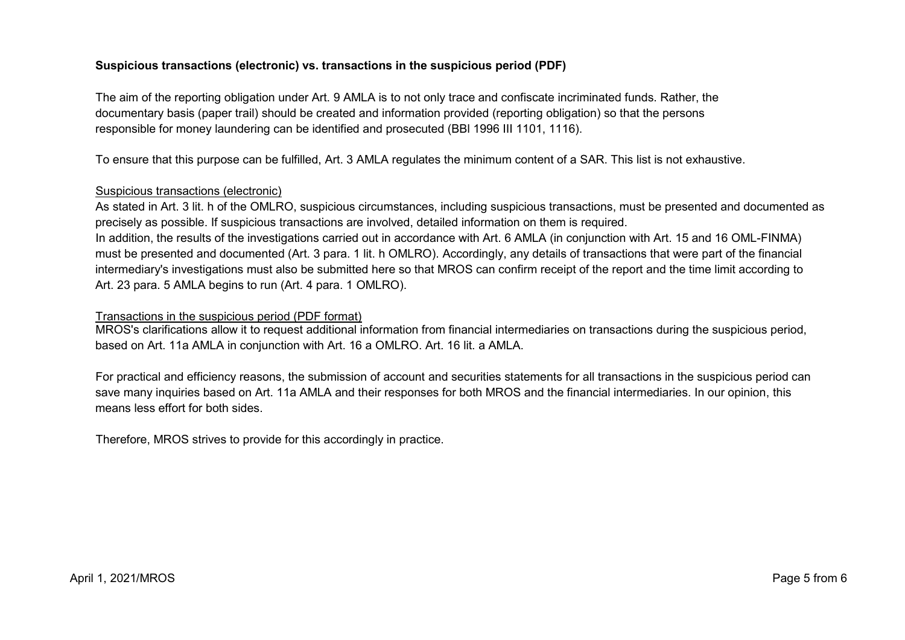#### **Suspicious transactions (electronic) vs. transactions in the suspicious period (PDF)**

The aim of the reporting obligation under Art. 9 AMLA is to not only trace and confiscate incriminated funds. Rather, the documentary basis (paper trail) should be created and information provided (reporting obligation) so that the persons responsible for money laundering can be identified and prosecuted (BBl 1996 III 1101, 1116).

To ensure that this purpose can be fulfilled, Art. 3 AMLA regulates the minimum content of a SAR. This list is not exhaustive.

#### Suspicious transactions (electronic)

As stated in Art. 3 lit. h of the OMLRO, suspicious circumstances, including suspicious transactions, must be presented and documented as precisely as possible. If suspicious transactions are involved, detailed information on them is required. In addition, the results of the investigations carried out in accordance with Art. 6 AMLA (in conjunction with Art. 15 and 16 OML-FINMA) must be presented and documented (Art. 3 para. 1 lit. h OMLRO). Accordingly, any details of transactions that were part of the financial intermediary's investigations must also be submitted here so that MROS can confirm receipt of the report and the time limit according to Art. 23 para. 5 AMLA begins to run (Art. 4 para. 1 OMLRO).

#### Transactions in the suspicious period (PDF format)

MROS's clarifications allow it to request additional information from financial intermediaries on transactions during the suspicious period, based on Art. 11a AMLA in conjunction with Art. 16 a OMLRO. Art. 16 lit. a AMLA.

For practical and efficiency reasons, the submission of account and securities statements for all transactions in the suspicious period can save many inquiries based on Art. 11a AMLA and their responses for both MROS and the financial intermediaries. In our opinion, this means less effort for both sides.

Therefore, MROS strives to provide for this accordingly in practice.